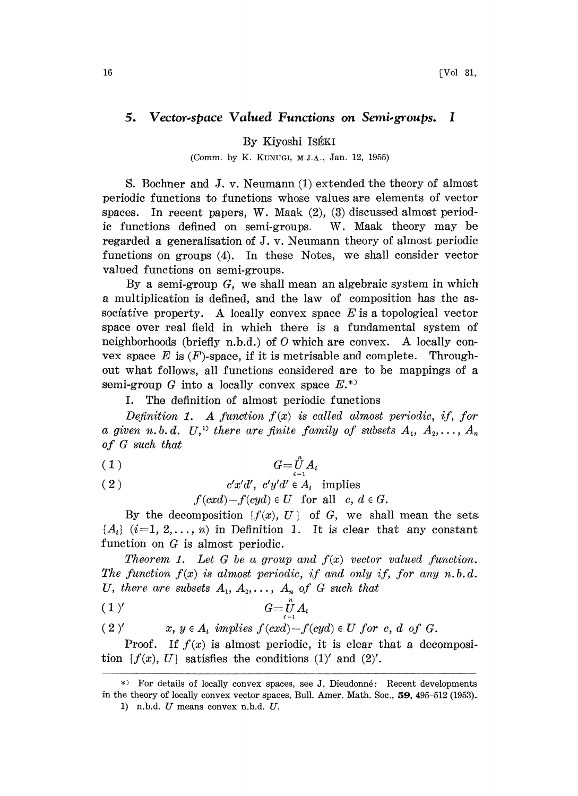## 5. Vector.space Valued Functions on Semi.groups. <sup>I</sup>

By Kiyoshi ISÉKI

(Comm. by K. KUNUGI, M.J.A., Jan. 12, 1955)

S. Bochner and J. v. Neumann (1) extended the theory of almost periodic functions to functions whose values are elements of vector spaces. In recent papers, W. Maak  $(2)$ ,  $(3)$  discussed almost periodic functions defined on semi-groups. W. Maak theory may be regarded a generalisation of J. v. Neumann theory of almost periodic functions on groups (4). In these Notes, we shall consider vector valued functions on semi-groups.

By a semi-group  $G$ , we shall mean an algebraic system in which a multiplication is defined, and the law of composition has the associative property. A locally convex space  $E$  is a topological vector space over real field in which there is a fundamental system of neighborhoods (briefly n.b.d.) of  $O$  which are convex. A locally convex space  $E$  is  $(F)$ -space, if it is metrisable and complete. Throughout what follows, all functions considered are to be mappings of a semi-group G into a locally convex space  $E^*$ 

I. The definition of almost periodic functions

Definition 1. A function  $f(x)$  is called almost periodic, if, for a given n.b.d. U,<sup>1)</sup> there are finite family of subsets  $A_1, A_2, \ldots, A_n$ of  $G$  such that

$$
(1) \t G = \ddot{U} A_i
$$

$$
(2) \t\t c'x'd',\ c'y'd' \in A_i \t implies
$$

$$
f(cxd)-f(cyd) \in U
$$
 for all  $c, d \in G$ .

By the decomposition  $\{f(x), U\}$  of G, we shall mean the sets  ${A<sub>i</sub>}$  (i=1, 2,..., n) in Definition 1. It is clear that any constant function on G is almost periodic.

Theorem 1. Let G be a group and  $f(x)$  vector valued function. The function  $f(x)$  is almost periodic, if and only if, for any n.b.d. U, there are subsets  $A_1, A_2, \ldots, A_n$  of G such that

$$
(1)^\prime \hspace{3.6cm} G = \bigcup_{i=1}^n A_i
$$

(2)' 
$$
x, y \in A_i
$$
 implies  $f(cxd) - f(cyd) \in U$  for c, d of G.

Proof. If  $f(x)$  is almost periodic, it is clear that a decomposition  $\{f(x), U\}$  satisfies the conditions (1)' and (2)'.

<sup>\*)</sup> For details of locally convex spaces, see J. Dieudonné: Recent developments in the theory of locally convex vector spaces, Bull. Amer. Math. Soc., 59, 495-512 (1953),

<sup>1)</sup> n.b.d.  $U$  means convex n.b.d.  $U$ .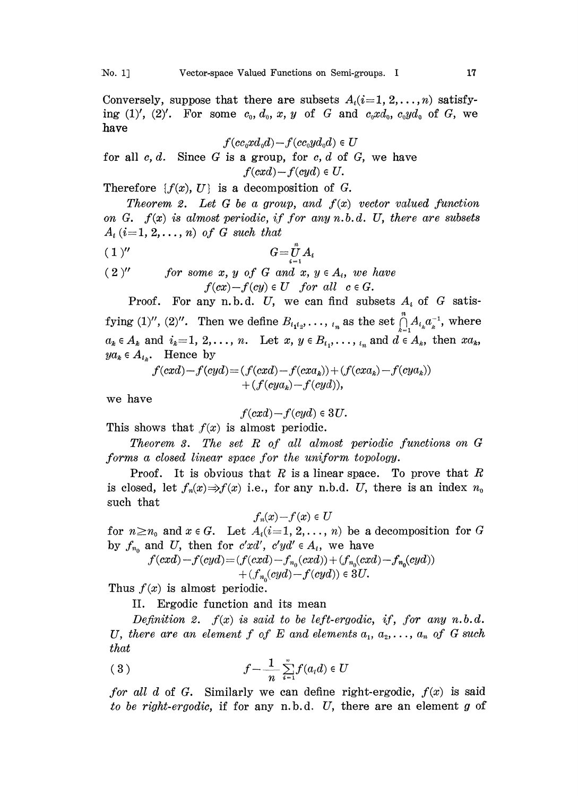Conversely, suppose that there are subsets  $A_i(i=1, 2, \ldots, n)$  satisfying  $(1)'$ ,  $(2)'$ . For some  $c_0, d_0, x, y$  of G and  $c_0x d_0, c_0y d_0$  of G, we have

$$
f(cc_0xd_0d)-f(cc_0yd_0d)\in U
$$

for all  $c, d$ . Since G is a group, for  $c, d$  of G, we have  $f(cxd) - f(cyd) \in U$ .

Therefore  $\{f(x), U\}$  is a decomposition of G.

Theorem 2. Let G be a group, and  $f(x)$  vector valued function on G.  $f(x)$  is almost periodic, if for any n.b.d. U, there are subsets  $A_i$  (i=1, 2,..., n) of G such that

$$
(1)'' \qquad \qquad G = \bigcup_{i=1}^n A_i
$$

 $(2)''$  for some x, y of G and x,  $y \in A_i$ , we have  $f(cx)-f(cy) \in U$  for all  $c \in G$ .

Proof. For any n.b.d. U, we can find subsets  $A_i$  of G satisfying (1)", (2)". Then we define  $B_{i_1i_2}, \ldots, i_n$  as the set  $\prod_{k=1}^n A_{i_k} a_k^{-1}$ , where  $a_k \in A_k$  and  $i_k=1, 2,\ldots, n$ . Let  $x, y \in B_{i_1}, \ldots, i_n$  and  $d \in A_k$ , then  $xa_k$ ,  $ya_k \in A_{i_k}$ . Hence by

$$
f(cxd) - f(cyd) = (f(cxd) - f(cxak)) + (f(cxak) - f(cyak))
$$
  
+  $(f(cyak) - f(cyd)),$ 

we have

$$
f(cxd)-f(cyd)\in 3U.
$$

This shows that  $f(x)$  is almost periodic.

Theorem 3. The set R of all almost periodic functions on G .forms a closed linear space for the uniform topology.

Proof. It is obvious that R is a linear space. To prove that R is closed, let  $f_n(x) \Rightarrow f(x)$  i.e., for any n.b.d. U, there is an index  $n_0$ such that

$$
f_n(x)-f(x)\in U
$$

for  $n \geq n_0$  and  $x \in G$ . Let  $A_i(i=1, 2, \ldots, n)$  be a decomposition for G by  $f_{n_0}$  and U, then for c'xd', c'yd'  $\in A_i$ , we have

$$
f(cxd) - f(cyd) = (f(cxd) - f_{n_0}(cxd)) + (f_{n_0}(cxd) - f_{n_0}(cyd)) + (f_{n_0}(cyd) - f(cyd)) \in 3U.
$$

Thus  $f(x)$  is almost periodic.

II. Ergodic function and its mean

Definition 2.  $f(x)$  is said to be left-ergodic, if, for any n.b.d. U, there are an element f of E and elements  $a_1, a_2, \ldots, a_n$  of G such that

$$
(3) \t\t f - \frac{1}{n} \sum_{i=1}^{n} f(a_i d) \in U
$$

*for all d* of G. Similarly we can define right-ergodic,  $f(x)$  is said to be right-ergodic, if for any n.b.d.  $U$ , there are an element  $g$  of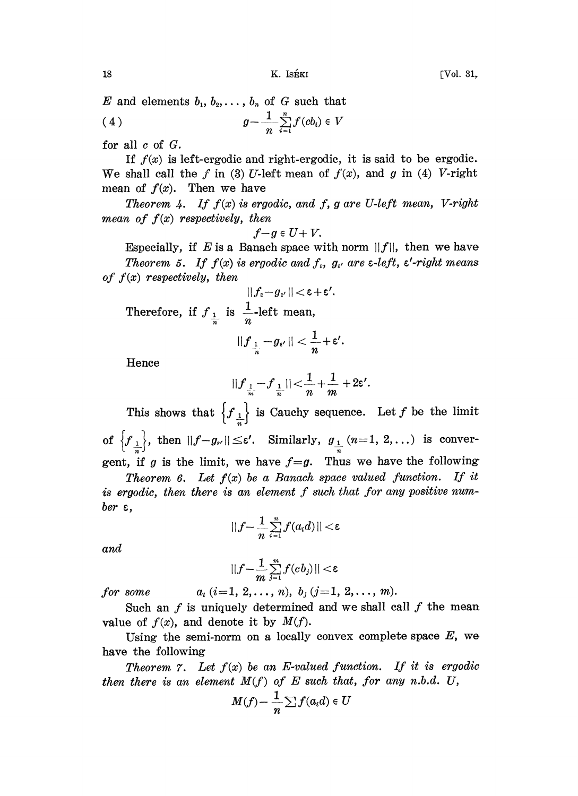E and elements  $b_1, b_2, \ldots, b_n$  of G such that

$$
(4) \t\t g-\frac{1}{n}\sum_{i=1}^n f(cb_i) \in V
$$

for all c of G.

If  $f(x)$  is left-ergodic and right-ergodic, it is said to be ergodic. We shall call the  $f$  in (3) U-left mean of  $f(x)$ , and g in (4) V-right mean of  $f(x)$ . Then we have

Theorem 4. If  $f(x)$  is ergodic, and f, g are U-left mean, V-right mean of  $f(x)$  respectively, then

$$
f{-}g\in U{+}V.
$$

Especially, if E is a Banach space with norm  $||f||$ , then we have Theorem 5. If  $f(x)$  is ergodic and  $f_{\varepsilon}$ ,  $g_{\varepsilon}$  are  $\varepsilon$ -left,  $\varepsilon'$ -right means of  $f(x)$  respectively, then

$$
||f_{\varepsilon}-g_{\varepsilon'}||<\varepsilon+\varepsilon'.
$$

Therefore, if  $f_{\frac{1}{n}}$  is  $\frac{1}{n}$ -left mean,

$$
||f_{\frac{1}{n}}-g_{\epsilon'}||<\frac{1}{n}+\epsilon'.
$$

Hence

$$
||f_{\frac{1}{m}}-f_{\frac{1}{n}}|| < \frac{1}{n} + \frac{1}{m} + 2\varepsilon'.
$$

This shows that  $\left\{f_{\frac{1}{n}}\right\}$  is Cauchy sequence. Let f be the limit of  $\left\{f_{\frac{1}{n}}\right\}$ , then  $||f-g_{\varepsilon'}|| \leq \varepsilon'.$  Similarly,  $g_{\frac{1}{n}}(n=1, 2,...)$  is convergent, if g is the limit, we have  $f=g$ . Thus we have the following

**Theorem 6.** Let  $f(x)$  be a Banach space valued function. If it is ergodic, then there is an element f such that for any positive humber  $\varepsilon$ ,

$$
||f-\frac{1}{n}\sum_{i=1}^n f(a_i d)|| < \varepsilon
$$

and

$$
||f-\frac{1}{m}\sum_{j=1}^m f(cb_j)|| < \varepsilon
$$

for some  $a_i$   $(i=1, 2, \ldots, n)$ ,  $b_j$   $(j=1, 2, \ldots, m)$ .

Such an  $f$  is uniquely determined and we shall call  $f$  the mean value of  $f(x)$ , and denote it by  $M(f)$ .

Using the semi-norm on a locally convex complete space  $E$ , we have the following

Theorem 7. Let  $f(x)$  be an E-valued function. If it is ergodic then there is an element  $M(f)$  of  $E$  such that, for any n.b.d. U,

$$
M(f) - \frac{1}{n} \sum f(a_i d) \in U
$$